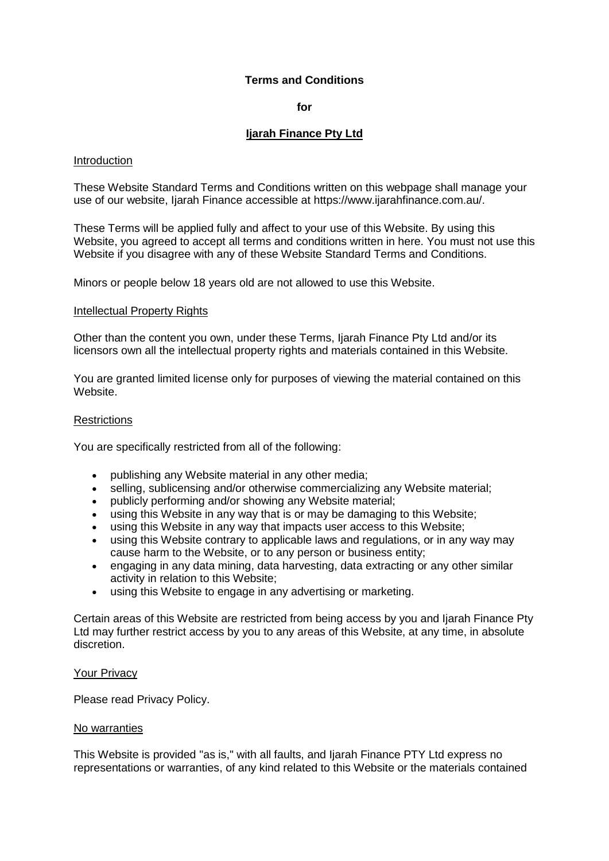# **Terms and Conditions**

**for**

# **Ijarah Finance Pty Ltd**

#### Introduction

These Website Standard Terms and Conditions written on this webpage shall manage your use of our website, Ijarah Finance accessible at https://www.ijarahfinance.com.au/.

These Terms will be applied fully and affect to your use of this Website. By using this Website, you agreed to accept all terms and conditions written in here. You must not use this Website if you disagree with any of these Website Standard Terms and Conditions.

Minors or people below 18 years old are not allowed to use this Website.

#### Intellectual Property Rights

Other than the content you own, under these Terms, Ijarah Finance Pty Ltd and/or its licensors own all the intellectual property rights and materials contained in this Website.

You are granted limited license only for purposes of viewing the material contained on this Website.

#### **Restrictions**

You are specifically restricted from all of the following:

- publishing any Website material in any other media;
- selling, sublicensing and/or otherwise commercializing any Website material:
- publicly performing and/or showing any Website material;
- using this Website in any way that is or may be damaging to this Website;
- using this Website in any way that impacts user access to this Website;
- using this Website contrary to applicable laws and regulations, or in any way may cause harm to the Website, or to any person or business entity;
- engaging in any data mining, data harvesting, data extracting or any other similar activity in relation to this Website;
- using this Website to engage in any advertising or marketing.

Certain areas of this Website are restricted from being access by you and Ijarah Finance Pty Ltd may further restrict access by you to any areas of this Website, at any time, in absolute discretion.

#### Your Privacy

Please read Privacy Policy.

#### No warranties

This Website is provided "as is," with all faults, and Ijarah Finance PTY Ltd express no representations or warranties, of any kind related to this Website or the materials contained